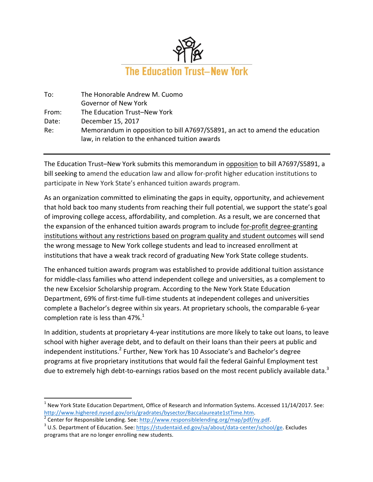

| To:   | The Honorable Andrew M. Cuomo                                               |
|-------|-----------------------------------------------------------------------------|
|       | Governor of New York                                                        |
| From: | The Education Trust-New York                                                |
| Date: | December 15, 2017                                                           |
| Re:   | Memorandum in opposition to bill A7697/S5891, an act to amend the education |
|       | law, in relation to the enhanced tuition awards                             |

The Education Trust-New York submits this memorandum in opposition to bill A7697/S5891, a bill seeking to amend the education law and allow for-profit higher education institutions to participate in New York State's enhanced tuition awards program.

As an organization committed to eliminating the gaps in equity, opportunity, and achievement that hold back too many students from reaching their full potential, we support the state's goal of improving college access, affordability, and completion. As a result, we are concerned that the expansion of the enhanced tuition awards program to include for-profit degree-granting institutions without any restrictions based on program quality and student outcomes will send the wrong message to New York college students and lead to increased enrollment at institutions that have a weak track record of graduating New York State college students.

The enhanced tuition awards program was established to provide additional tuition assistance for middle-class families who attend independent college and universities, as a complement to the new Excelsior Scholarship program. According to the New York State Education Department, 69% of first-time full-time students at independent colleges and universities complete a Bachelor's degree within six years. At proprietary schools, the comparable 6-year completion rate is less than 47%. $1$ 

In addition, students at proprietary 4-year institutions are more likely to take out loans, to leave school with higher average debt, and to default on their loans than their peers at public and independent institutions.<sup>2</sup> Further, New York has 10 Associate's and Bachelor's degree programs at five proprietary institutions that would fail the federal Gainful Employment test due to extremely high debt-to-earnings ratios based on the most recent publicly available data.<sup>3</sup>

 

 $1$  New York State Education Department, Office of Research and Information Systems. Accessed 11/14/2017. See: http://www.highered.nysed.gov/oris/gradrates/bysector/Baccalaureate1stTime.htm.<br>
<sup>2</sup> Center for Responsible Lending. See: http://www.responsiblelending.org/map/pdf/ny.pdf.<br>
<sup>3</sup> U.S. Department of Education. See: https://st

programs that are no longer enrolling new students.